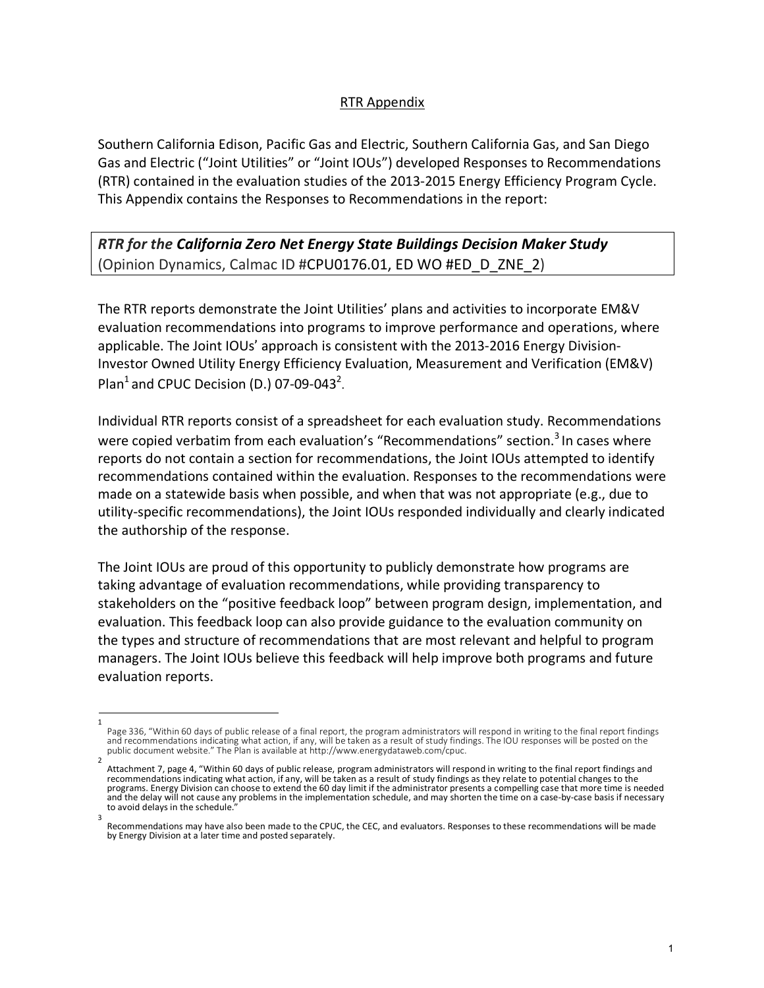## RTR Appendix

Southern California Edison, Pacific Gas and Electric, Southern California Gas, and San Diego Gas and Electric ("Joint Utilities" or "Joint IOUs") developed Responses to Recommendations (RTR) contained in the evaluation studies of the 2013-2015 Energy Efficiency Program Cycle. This Appendix contains the Responses to Recommendations in the report:

*RTR for the California Zero Net Energy State Buildings Decision Maker Study* (Opinion Dynamics, Calmac ID #CPU0176.01, ED WO #ED\_D\_ZNE\_2)

The RTR reports demonstrate the Joint Utilities' plans and activities to incorporate EM&V evaluation recommendations into programs to improve performance and operations, where applicable. The Joint IOUs' approach is consistent with the 2013-2016 Energy Division-Investor Owned Utility Energy Efficiency Evaluation, Measurement and Verification (EM&V) Plan<sup>1</sup> and CPUC Decision (D.) 07-09-043<sup>2</sup>.

Individual RTR reports consist of a spreadsheet for each evaluation study. Recommendations were copied verbatim from each evaluation's "Recommendations" section.<sup>3</sup> In cases where reports do not contain a section for recommendations, the Joint IOUs attempted to identify recommendations contained within the evaluation. Responses to the recommendations were made on a statewide basis when possible, and when that was not appropriate (e.g., due to utility-specific recommendations), the Joint IOUs responded individually and clearly indicated the authorship of the response.

The Joint IOUs are proud of this opportunity to publicly demonstrate how programs are taking advantage of evaluation recommendations, while providing transparency to stakeholders on the "positive feedback loop" between program design, implementation, and evaluation. This feedback loop can also provide guidance to the evaluation community on the types and structure of recommendations that are most relevant and helpful to program managers. The Joint IOUs believe this feedback will help improve both programs and future evaluation reports.

<sup>1</sup>  Page 336, "Within 60 days of public release of a final report, the program administrators will respond in writing to the final report findings and recommendations indicating what action, if any, will be taken as a result of study findings. The IOU responses will be posted on the public document website." The Plan is available at http://www.energydataweb.com/cpuc.

<sup>2</sup>  Attachment 7, page 4, "Within 60 days of public release, program administrators will respond in writing to the final report findings and recommendations indicating what action, if any, will be taken as a result of study findings as they relate to potential changes to the programs. Energy Division can choose to extend the 60 day limit if the administrator presents a compelling case that more time is needed and the delay will not cause any problems in the implementation schedule, and may shorten the time on a case-by-case basis if necessary to avoid delays in the schedule. 3

Recommendations may have also been made to the CPUC, the CEC, and evaluators. Responses to these recommendations will be made by Energy Division at a later time and posted separately.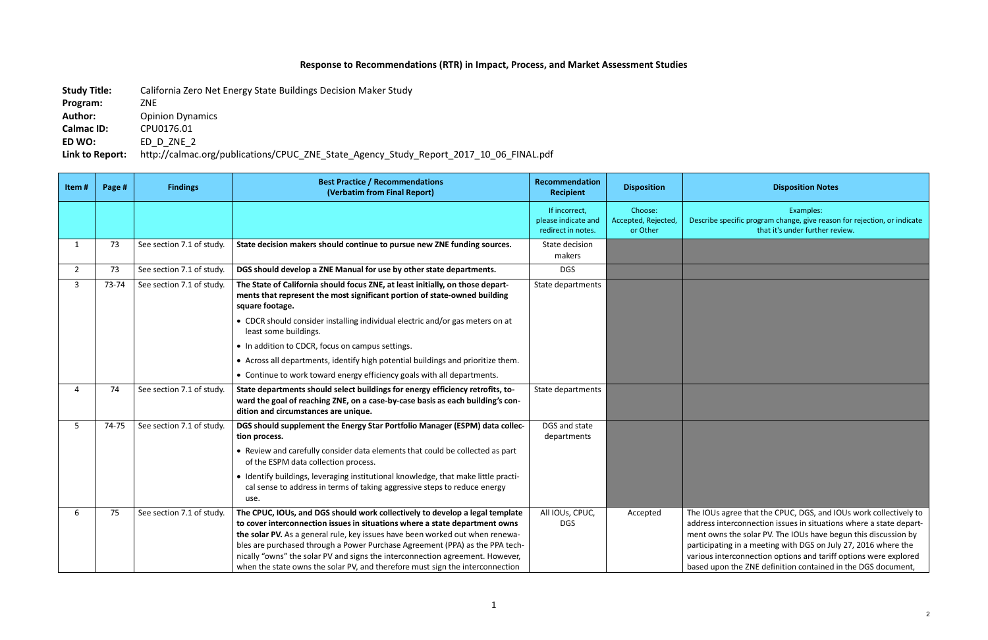## **Response to Recommendations (RTR) in Impact, Process, and Market Assessment Studies**

**Study Title:** California Zero Net Energy State Buildings Decision Maker Study

**Program:** ZNE

Author: Opinion Dynamics

**Calmac ID:** CPU0176.01

**ED WO:** ED\_D\_ZNE\_2

**Link to Report:** http://calmac.org/publications/CPUC\_ZNE\_State\_Agency\_Study\_Report\_2017\_10\_06\_FINAL.pdf

## **Recipient Disposition Disposition Notes**

Examples: ecific program change, give reason for rejection, or indicate that it's under further review.

agree that the CPUC, DGS, and IOUs work collectively to terconnection issues in situations where a state departthe solar PV. The IOUs have begun this discussion by ing in a meeting with DGS on July 27, 2016 where the terconnection options and tariff options were explored on the ZNE definition contained in the DGS document,

| Item#          | Page # | <b>Findings</b>           | <b>Best Practice / Recommendations</b><br>(Verbatim from Final Report)                                                                                                                                                                                                                                                                                                                                                                                                                         | <b>Recommendation</b><br><b>Recipient</b>                  | <b>Disposition</b>                         |                                                                                      |
|----------------|--------|---------------------------|------------------------------------------------------------------------------------------------------------------------------------------------------------------------------------------------------------------------------------------------------------------------------------------------------------------------------------------------------------------------------------------------------------------------------------------------------------------------------------------------|------------------------------------------------------------|--------------------------------------------|--------------------------------------------------------------------------------------|
|                |        |                           |                                                                                                                                                                                                                                                                                                                                                                                                                                                                                                | If incorrect,<br>please indicate and<br>redirect in notes. | Choose:<br>Accepted, Rejected,<br>or Other | Describe sp                                                                          |
| $\mathbf{1}$   | 73     | See section 7.1 of study. | State decision makers should continue to pursue new ZNE funding sources.                                                                                                                                                                                                                                                                                                                                                                                                                       | State decision<br>makers                                   |                                            |                                                                                      |
| $\overline{2}$ | 73     | See section 7.1 of study. | DGS should develop a ZNE Manual for use by other state departments.                                                                                                                                                                                                                                                                                                                                                                                                                            | <b>DGS</b>                                                 |                                            |                                                                                      |
| 3              | 73-74  | See section 7.1 of study. | The State of California should focus ZNE, at least initially, on those depart-<br>ments that represent the most significant portion of state-owned building<br>square footage.                                                                                                                                                                                                                                                                                                                 | State departments                                          |                                            |                                                                                      |
|                |        |                           | • CDCR should consider installing individual electric and/or gas meters on at<br>least some buildings.                                                                                                                                                                                                                                                                                                                                                                                         |                                                            |                                            |                                                                                      |
|                |        |                           | • In addition to CDCR, focus on campus settings.                                                                                                                                                                                                                                                                                                                                                                                                                                               |                                                            |                                            |                                                                                      |
|                |        |                           | • Across all departments, identify high potential buildings and prioritize them.                                                                                                                                                                                                                                                                                                                                                                                                               |                                                            |                                            |                                                                                      |
|                |        |                           | • Continue to work toward energy efficiency goals with all departments.                                                                                                                                                                                                                                                                                                                                                                                                                        |                                                            |                                            |                                                                                      |
| $\overline{4}$ | 74     | See section 7.1 of study. | State departments should select buildings for energy efficiency retrofits, to-<br>ward the goal of reaching ZNE, on a case-by-case basis as each building's con-<br>dition and circumstances are unique.                                                                                                                                                                                                                                                                                       | State departments                                          |                                            |                                                                                      |
| 5              | 74-75  | See section 7.1 of study. | DGS should supplement the Energy Star Portfolio Manager (ESPM) data collec-<br>tion process.                                                                                                                                                                                                                                                                                                                                                                                                   | DGS and state<br>departments                               |                                            |                                                                                      |
|                |        |                           | • Review and carefully consider data elements that could be collected as part<br>of the ESPM data collection process.                                                                                                                                                                                                                                                                                                                                                                          |                                                            |                                            |                                                                                      |
|                |        |                           | • Identify buildings, leveraging institutional knowledge, that make little practi-<br>cal sense to address in terms of taking aggressive steps to reduce energy<br>use.                                                                                                                                                                                                                                                                                                                        |                                                            |                                            |                                                                                      |
| 6              | 75     | See section 7.1 of study. | The CPUC, IOUs, and DGS should work collectively to develop a legal template<br>to cover interconnection issues in situations where a state department owns<br>the solar PV. As a general rule, key issues have been worked out when renewa-<br>bles are purchased through a Power Purchase Agreement (PPA) as the PPA tech-<br>nically "owns" the solar PV and signs the interconnection agreement. However,<br>when the state owns the solar PV, and therefore must sign the interconnection | All IOUs, CPUC,<br><b>DGS</b>                              | Accepted                                   | The IOUs a<br>address int<br>ment owns<br>participatir<br>various inte<br>based upor |